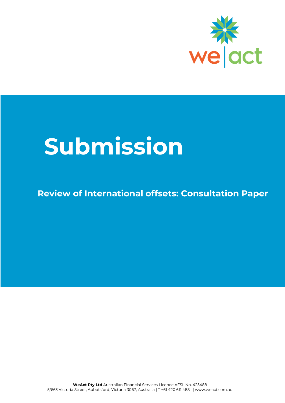

# **Submission**

## **Review of International offsets: Consultation Paper**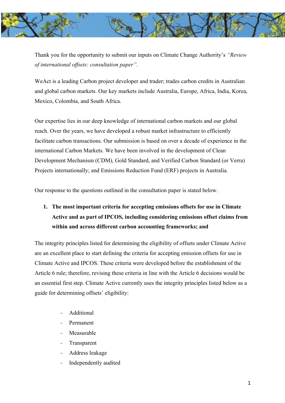

Thank you for the opportunity to submit our inputs on Climate Change Authority's *"Review of international offsets: consultation paper"*.

WeAct is a leading Carbon project developer and trader; trades carbon credits in Australian and global carbon markets. Our key markets include Australia, Europe, Africa, India, Korea, Mexico, Colombia, and South Africa.

Our expertise lies in our deep knowledge of international carbon markets and our global reach. Over the years, we have developed a robust market infrastructure to efficiently facilitate carbon transactions. Our submission is based on over a decade of experience in the international Carbon Markets. We have been involved in the development of Clean Development Mechanism (CDM), Gold Standard, and Verified Carbon Standard (or Verra) Projects internationally; and Emissions Reduction Fund (ERF) projects in Australia.

Our response to the questions outlined in the consultation paper is stated below.

## **1. The most important criteria for accepting emissions offsets for use in Climate Active and as part of IPCOS, including considering emissions offset claims from within and across different carbon accounting frameworks; and**

The integrity principles listed for determining the eligibility of offsets under Climate Active are an excellent place to start defining the criteria for accepting emission offsets for use in Climate Active and IPCOS. These criteria were developed before the establishment of the Article 6 rule; therefore, revising these criteria in line with the Article 6 decisions would be an essential first step. Climate Active currently uses the integrity principles listed below as a guide for determining offsets' eligibility:

- Additional
- Permanent
- **Measurable**
- **Transparent**
- Address leakage
- Independently audited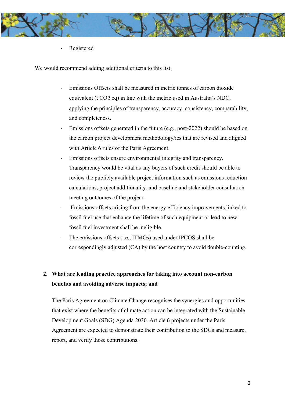

Registered

We would recommend adding additional criteria to this list:

- Emissions Offsets shall be measured in metric tonnes of carbon dioxide equivalent (t CO2 eq) in line with the metric used in Australia's NDC, applying the principles of transparency, accuracy, consistency, comparability, and completeness.
- Emissions offsets generated in the future (e.g., post-2022) should be based on the carbon project development methodology/ies that are revised and aligned with Article 6 rules of the Paris Agreement.
- Emissions offsets ensure environmental integrity and transparency. Transparency would be vital as any buyers of such credit should be able to review the publicly available project information such as emissions reduction calculations, project additionality, and baseline and stakeholder consultation meeting outcomes of the project.
- Emissions offsets arising from the energy efficiency improvements linked to fossil fuel use that enhance the lifetime of such equipment or lead to new fossil fuel investment shall be ineligible.
- The emissions offsets (i.e., ITMOs) used under IPCOS shall be correspondingly adjusted (CA) by the host country to avoid double-counting.

## **2. What are leading practice approaches for taking into account non-carbon benefits and avoiding adverse impacts; and**

The Paris Agreement on Climate Change recognises the synergies and opportunities that exist where the benefits of climate action can be integrated with the Sustainable Development Goals (SDG) Agenda 2030. Article 6 projects under the Paris Agreement are expected to demonstrate their contribution to the SDGs and measure, report, and verify those contributions.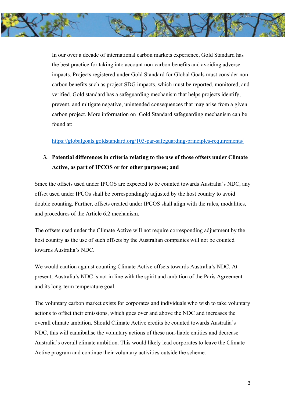

In our over a decade of international carbon markets experience, Gold Standard has the best practice for taking into account non-carbon benefits and avoiding adverse impacts. Projects registered under Gold Standard for Global Goals must consider noncarbon benefits such as project SDG impacts, which must be reported, monitored, and verified. Gold standard has a safeguarding mechanism that helps projects identify, prevent, and mitigate negative, unintended consequences that may arise from a given carbon project. More information on Gold Standard safeguarding mechanism can be found at:

https://globalgoals.goldstandard.org/103-par-safeguarding-principles-requirements/

## **3. Potential differences in criteria relating to the use of those offsets under Climate Active, as part of IPCOS or for other purposes; and**

Since the offsets used under IPCOS are expected to be counted towards Australia's NDC, any offset used under IPCOs shall be correspondingly adjusted by the host country to avoid double counting. Further, offsets created under IPCOS shall align with the rules, modalities, and procedures of the Article 6.2 mechanism.

The offsets used under the Climate Active will not require corresponding adjustment by the host country as the use of such offsets by the Australian companies will not be counted towards Australia's NDC.

We would caution against counting Climate Active offsets towards Australia's NDC. At present, Australia's NDC is not in line with the spirit and ambition of the Paris Agreement and its long-term temperature goal.

The voluntary carbon market exists for corporates and individuals who wish to take voluntary actions to offset their emissions, which goes over and above the NDC and increases the overall climate ambition. Should Climate Active credits be counted towards Australia's NDC, this will cannibalise the voluntary actions of these non-liable entities and decrease Australia's overall climate ambition. This would likely lead corporates to leave the Climate Active program and continue their voluntary activities outside the scheme.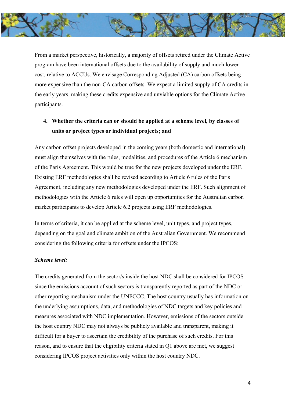

From a market perspective, historically, a majority of offsets retired under the Climate Active program have been international offsets due to the availability of supply and much lower cost, relative to ACCUs. We envisage Corresponding Adjusted (CA) carbon offsets being more expensive than the non-CA carbon offsets. We expect a limited supply of CA credits in the early years, making these credits expensive and unviable options for the Climate Active participants.

## **4. Whether the criteria can or should be applied at a scheme level, by classes of units or project types or individual projects; and**

Any carbon offset projects developed in the coming years (both domestic and international) must align themselves with the rules, modalities, and procedures of the Article 6 mechanism of the Paris Agreement. This would be true for the new projects developed under the ERF. Existing ERF methodologies shall be revised according to Article 6 rules of the Paris Agreement, including any new methodologies developed under the ERF. Such alignment of methodologies with the Article 6 rules will open up opportunities for the Australian carbon market participants to develop Article 6.2 projects using ERF methodologies.

In terms of criteria, it can be applied at the scheme level, unit types, and project types, depending on the goal and climate ambition of the Australian Government. We recommend considering the following criteria for offsets under the IPCOS:

#### *Scheme level:*

The credits generated from the sector/s inside the host NDC shall be considered for IPCOS since the emissions account of such sectors is transparently reported as part of the NDC or other reporting mechanism under the UNFCCC. The host country usually has information on the underlying assumptions, data, and methodologies of NDC targets and key policies and measures associated with NDC implementation. However, emissions of the sectors outside the host country NDC may not always be publicly available and transparent, making it difficult for a buyer to ascertain the credibility of the purchase of such credits. For this reason, and to ensure that the eligibility criteria stated in Q1 above are met, we suggest considering IPCOS project activities only within the host country NDC.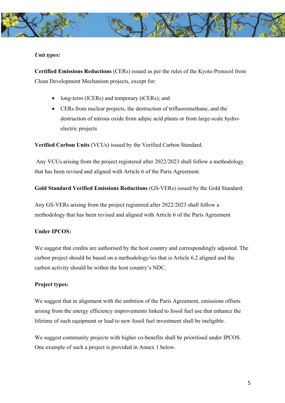

#### *Unit types:*

**Certified Emissions Reductions** (CERs) issued as per the rules of the Kyoto Protocol from Clean Development Mechanism projects, except for:

- long-term (lCERs) and temporary (tCERs); and
- CERs from nuclear projects, the destruction of trifluoromethane, and the destruction of nitrous oxide from adipic acid plants or from large-scale hydroelectric projects

**Verified Carbon Units** (VCUs) issued by the Verified Carbon Standard.

Any VCUs arising from the project registered after 2022/2023 shall follow a methodology that has been revised and aligned with Article 6 of the Paris Agreement.

**Gold Standard Verified Emissions Reductions** (GS-VERs) issued by the Gold Standard:

Any GS-VERs arising from the project registered after 2022/2023 shall follow a methodology that has been revised and aligned with Article 6 of the Paris Agreement

#### **Under IPCOS:**

We suggest that credits are authorised by the host country and correspondingly adjusted. The carbon project should be based on a methodology/ies that is Article 6.2 aligned and the carbon activity should be within the host country's NDC.

#### **Project types:**

We suggest that in alignment with the ambition of the Paris Agreement, emissions offsets arising from the energy efficiency improvements linked to fossil fuel use that enhance the lifetime of such equipment or lead to new fossil fuel investment shall be ineligible.

We suggest community projects with higher co-benefits shall be prioritised under IPCOS. One example of such a project is provided in Annex 1 below.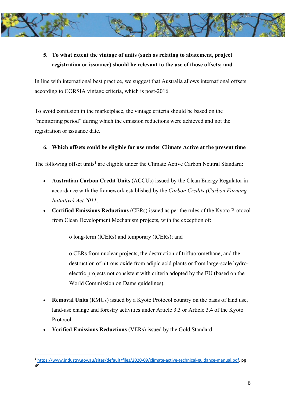

## **5. To what extent the vintage of units (such as relating to abatement, project registration or issuance) should be relevant to the use of those offsets; and**

In line with international best practice, we suggest that Australia allows international offsets according to CORSIA vintage criteria, which is post-2016.

To avoid confusion in the marketplace, the vintage criteria should be based on the "monitoring period" during which the emission reductions were achieved and not the registration or issuance date.

#### **6. Which offsets could be eligible for use under Climate Active at the present time**

The following offset units<sup>1</sup> are eligible under the Climate Active Carbon Neutral Standard:

- **Australian Carbon Credit Units** (ACCUs) issued by the Clean Energy Regulator in accordance with the framework established by the *Carbon Credits (Carbon Farming Initiative) Act 2011*.
- **Certified Emissions Reductions** (CERs) issued as per the rules of the Kyoto Protocol from Clean Development Mechanism projects, with the exception of:

o long-term (lCERs) and temporary (tCERs); and

o CERs from nuclear projects, the destruction of trifluoromethane, and the destruction of nitrous oxide from adipic acid plants or from large-scale hydroelectric projects not consistent with criteria adopted by the EU (based on the World Commission on Dams guidelines).

- **Removal Units (RMUs) issued by a Kyoto Protocol country on the basis of land use,** land-use change and forestry activities under Article 3.3 or Article 3.4 of the Kyoto Protocol.
- **Verified Emissions Reductions** (VERs) issued by the Gold Standard.

<sup>1</sup> https://www.industry.gov.au/sites/default/files/2020-09/climate-active-technical-guidance-manual.pdf, pg 49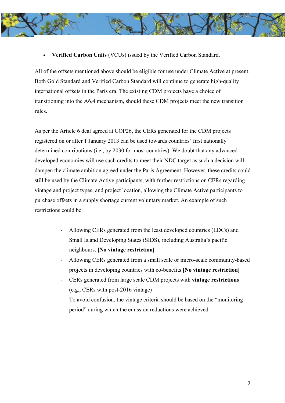- - **Verified Carbon Units** (VCUs) issued by the Verified Carbon Standard.

All of the offsets mentioned above should be eligible for use under Climate Active at present. Both Gold Standard and Verified Carbon Standard will continue to generate high-quality international offsets in the Paris era. The existing CDM projects have a choice of transitioning into the A6.4 mechanism, should these CDM projects meet the new transition rules.

As per the Article 6 deal agreed at COP26, the CERs generated for the CDM projects registered on or after 1 January 2013 can be used towards countries' first nationally determined contributions (i.e., by 2030 for most countries). We doubt that any advanced developed economies will use such credits to meet their NDC target as such a decision will dampen the climate ambition agreed under the Paris Agreement. However, these credits could still be used by the Climate Active participants, with further restrictions on CERs regarding vintage and project types, and project location, allowing the Climate Active participants to purchase offsets in a supply shortage current voluntary market. An example of such restrictions could be:

- Allowing CERs generated from the least developed countries (LDCs) and Small Island Developing States (SIDS), including Australia's pacific neighbours. **[No vintage restriction]**
- Allowing CERs generated from a small scale or micro-scale community-based projects in developing countries with co-benefits **[No vintage restriction]**
- CERs generated from large scale CDM projects with **vintage restrictions** (e.g., CERs with post-2016 vintage)
- To avoid confusion, the vintage criteria should be based on the "monitoring" period" during which the emission reductions were achieved.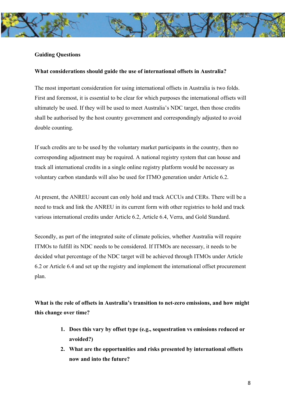#### **Guiding Questions**

#### **What considerations should guide the use of international offsets in Australia?**

The most important consideration for using international offsets in Australia is two folds. First and foremost, it is essential to be clear for which purposes the international offsets will ultimately be used. If they will be used to meet Australia's NDC target, then those credits shall be authorised by the host country government and correspondingly adjusted to avoid double counting.

If such credits are to be used by the voluntary market participants in the country, then no corresponding adjustment may be required. A national registry system that can house and track all international credits in a single online registry platform would be necessary as voluntary carbon standards will also be used for ITMO generation under Article 6.2.

At present, the ANREU account can only hold and track ACCUs and CERs. There will be a need to track and link the ANREU in its current form with other registries to hold and track various international credits under Article 6.2, Article 6.4, Verra, and Gold Standard.

Secondly, as part of the integrated suite of climate policies, whether Australia will require ITMOs to fulfill its NDC needs to be considered. If ITMOs are necessary, it needs to be decided what percentage of the NDC target will be achieved through ITMOs under Article 6.2 or Article 6.4 and set up the registry and implement the international offset procurement plan.

**What is the role of offsets in Australia's transition to net-zero emissions, and how might this change over time?** 

- **1. Does this vary by offset type (e.g., sequestration vs emissions reduced or avoided?)**
- **2. What are the opportunities and risks presented by international offsets now and into the future?**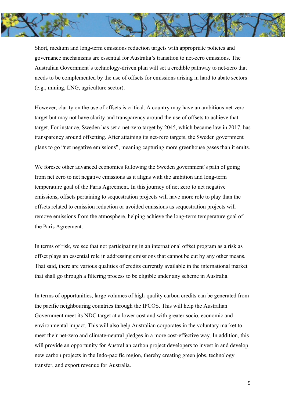

Short, medium and long-term emissions reduction targets with appropriate policies and governance mechanisms are essential for Australia's transition to net-zero emissions. The Australian Government's technology-driven plan will set a credible pathway to net-zero that needs to be complemented by the use of offsets for emissions arising in hard to abate sectors (e.g., mining, LNG, agriculture sector).

However, clarity on the use of offsets is critical. A country may have an ambitious net-zero target but may not have clarity and transparency around the use of offsets to achieve that target. For instance, Sweden has set a net-zero target by 2045, which became law in 2017, has transparency around offsetting. After attaining its net-zero targets, the Sweden government plans to go "net negative emissions", meaning capturing more greenhouse gases than it emits.

We foresee other advanced economies following the Sweden government's path of going from net zero to net negative emissions as it aligns with the ambition and long-term temperature goal of the Paris Agreement. In this journey of net zero to net negative emissions, offsets pertaining to sequestration projects will have more role to play than the offsets related to emission reduction or avoided emissions as sequestration projects will remove emissions from the atmosphere, helping achieve the long-term temperature goal of the Paris Agreement.

In terms of risk, we see that not participating in an international offset program as a risk as offset plays an essential role in addressing emissions that cannot be cut by any other means. That said, there are various qualities of credits currently available in the international market that shall go through a filtering process to be eligible under any scheme in Australia.

In terms of opportunities, large volumes of high-quality carbon credits can be generated from the pacific neighbouring countries through the IPCOS. This will help the Australian Government meet its NDC target at a lower cost and with greater socio, economic and environmental impact. This will also help Australian corporates in the voluntary market to meet their net-zero and climate-neutral pledges in a more cost-effective way. In addition, this will provide an opportunity for Australian carbon project developers to invest in and develop new carbon projects in the Indo-pacific region, thereby creating green jobs, technology transfer, and export revenue for Australia.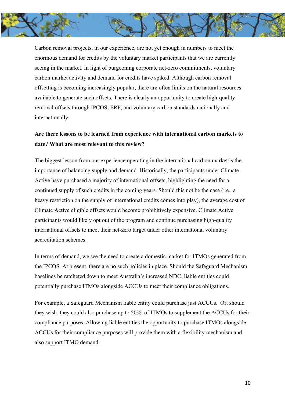

Carbon removal projects, in our experience, are not yet enough in numbers to meet the enormous demand for credits by the voluntary market participants that we are currently seeing in the market. In light of burgeoning corporate net-zero commitments, voluntary carbon market activity and demand for credits have spiked. Although carbon removal offsetting is becoming increasingly popular, there are often limits on the natural resources available to generate such offsets. There is clearly an opportunity to create high-quality removal offsets through IPCOS, ERF, and voluntary carbon standards nationally and internationally.

### **Are there lessons to be learned from experience with international carbon markets to date? What are most relevant to this review?**

The biggest lesson from our experience operating in the international carbon market is the importance of balancing supply and demand. Historically, the participants under Climate Active have purchased a majority of international offsets, highlighting the need for a continued supply of such credits in the coming years. Should this not be the case (i.e., a heavy restriction on the supply of international credits comes into play), the average cost of Climate Active eligible offsets would become prohibitively expensive. Climate Active participants would likely opt out of the program and continue purchasing high-quality international offsets to meet their net-zero target under other international voluntary accreditation schemes.

In terms of demand, we see the need to create a domestic market for ITMOs generated from the IPCOS. At present, there are no such policies in place. Should the Safeguard Mechanism baselines be ratcheted down to meet Australia's increased NDC, liable entities could potentially purchase ITMOs alongside ACCUs to meet their compliance obligations.

For example, a Safeguard Mechanism liable entity could purchase just ACCUs. Or, should they wish, they could also purchase up to 50% of ITMOs to supplement the ACCUs for their compliance purposes. Allowing liable entities the opportunity to purchase ITMOs alongside ACCUs for their compliance purposes will provide them with a flexibility mechanism and also support ITMO demand.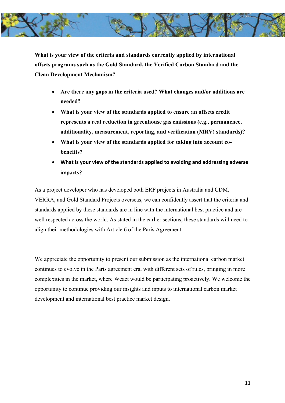

**What is your view of the criteria and standards currently applied by international offsets programs such as the Gold Standard, the Verified Carbon Standard and the Clean Development Mechanism?** 

- **Are there any gaps in the criteria used? What changes and/or additions are needed?**
- **What is your view of the standards applied to ensure an offsets credit represents a real reduction in greenhouse gas emissions (e.g., permanence, additionality, measurement, reporting, and verification (MRV) standards)?**
- **What is your view of the standards applied for taking into account cobenefits?**
- **What is your view of the standards applied to avoiding and addressing adverse impacts?**

As a project developer who has developed both ERF projects in Australia and CDM, VERRA, and Gold Standard Projects overseas, we can confidently assert that the criteria and standards applied by these standards are in line with the international best practice and are well respected across the world. As stated in the earlier sections, these standards will need to align their methodologies with Article 6 of the Paris Agreement.

We appreciate the opportunity to present our submission as the international carbon market continues to evolve in the Paris agreement era, with different sets of rules, bringing in more complexities in the market, where Weact would be participating proactively. We welcome the opportunity to continue providing our insights and inputs to international carbon market development and international best practice market design.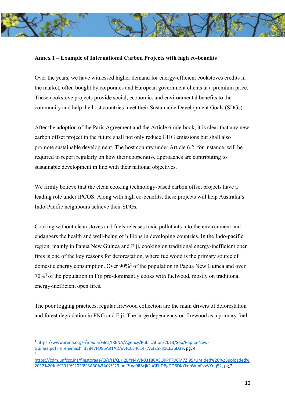

#### **Annex 1 – Example of International Carbon Projects with high co-benefits**

Over the years, we have witnessed higher demand for energy-efficient cookstoves credits in the market, often bought by corporates and European government clients at a premium price. These cookstove projects provide social, economic, and environmental benefits to the community and help the host countries meet their Sustainable Development Goals (SDGs).

After the adoption of the Paris Agreement and the Article 6 rule book, it is clear that any new carbon offset project in the future shall not only reduce GHG emissions but shall also promote sustainable development. The host country under Article 6.2, for instance, will be required to report regularly on how their cooperative approaches are contributing to sustainable development in line with their national objectives.

We firmly believe that the clean cooking technology-based carbon offset projects have a leading role under IPCOS. Along with high co-benefits, these projects will help Australia's Indo-Pacific neighbours achieve their SDGs.

Cooking without clean stoves and fuels releases toxic pollutants into the environment and endangers the health and well-being of billions in developing countries. In the Indo-pacific region, mainly in Papua New Guinea and Fiji, cooking on traditional energy-inefficient open fires is one of the key reasons for deforestation, where fuelwood is the primary source of domestic energy consumption. Over 90%2 of the population in Papua New Guinea and over 70%3 of the population in Fiji pre-dominantly cooks with fuelwood, mostly on traditional energy-inefficient open fires.

The poor logging practices, regular firewood collection are the main drivers of deforestation and forest degradation in PNG and Fiji. The large dependency on firewood as a primary fuel

<sup>2</sup> https://www.irena.org/-/media/Files/IRENA/Agency/Publication/2013/Sep/Papua-New-Guinea.pdf?la=en&hash=3E847FD95A91ADAA4CC34614F7A325F80CE36D39, pg, 4 3

https://cdm.unfccc.int/filestorage/Q/J/H/QJH2BYN4WR0318CASOKPFTD6M7ZI95/Untitled%20%28uploaded% 2012%20Jul%2019%2020%3A30%3A02%29.pdf?t=a0R8cjk2aGFifDBgDO6DKYkopWmPvvVYoq52, pg,2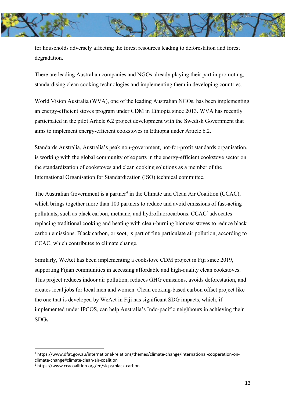

for households adversely affecting the forest resources leading to deforestation and forest degradation.

There are leading Australian companies and NGOs already playing their part in promoting, standardising clean cooking technologies and implementing them in developing countries.

World Vision Australia (WVA), one of the leading Australian NGOs, has been implementing an energy-efficient stoves program under CDM in Ethiopia since 2013. WVA has recently participated in the pilot Article 6.2 project development with the Swedish Government that aims to implement energy-efficient cookstoves in Ethiopia under Article 6.2.

Standards Australia, Australia's peak non-government, not-for-profit standards organisation, is working with the global community of experts in the energy-efficient cookstove sector on the standardization of cookstoves and clean cooking solutions as a member of the International Organisation for Standardization (ISO) technical committee.

The Australian Government is a partner<sup>4</sup> in the Climate and Clean Air Coalition (CCAC), which brings together more than 100 partners to reduce and avoid emissions of fast-acting pollutants, such as black carbon, methane, and hydrofluorocarbons. CCAC5 advocates replacing traditional cooking and heating with clean-burning biomass stoves to reduce black carbon emissions. Black carbon, or soot, is part of fine particulate air pollution, according to CCAC, which contributes to climate change.

Similarly, WeAct has been implementing a cookstove CDM project in Fiji since 2019, supporting Fijian communities in accessing affordable and high-quality clean cookstoves. This project reduces indoor air pollution, reduces GHG emissions, avoids deforestation, and creates local jobs for local men and women. Clean cooking-based carbon offset project like the one that is developed by WeAct in Fiji has significant SDG impacts, which, if implemented under IPCOS, can help Australia's Indo-pacific neighbours in achieving their SDGs.

<sup>4</sup> https://www.dfat.gov.au/international-relations/themes/climate-change/international-cooperation-onclimate-change#climate-clean-air-coalition

<sup>5</sup> https://www.ccacoalition.org/en/slcps/black-carbon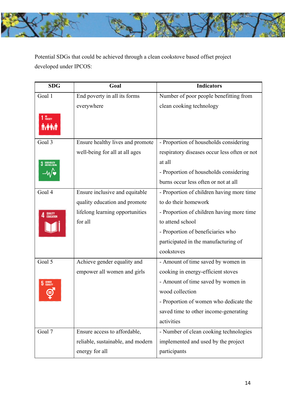

Potential SDGs that could be achieved through a clean cookstove based offset project developed under IPCOS:

| <b>SDG</b>             | Goal                              | <b>Indicators</b>                            |
|------------------------|-----------------------------------|----------------------------------------------|
| Goal 1                 | End poverty in all its forms      | Number of poor people benefitting from       |
|                        | everywhere                        | clean cooking technology                     |
| 1 NO <sub>RVERTY</sub> |                                   |                                              |
|                        |                                   |                                              |
| Goal 3                 | Ensure healthy lives and promote  | - Proportion of households considering       |
|                        | well-being for all at all ages    | respiratory diseases occur less often or not |
|                        |                                   | at all                                       |
|                        |                                   | - Proportion of households considering       |
|                        |                                   | burns occur less often or not at all         |
| Goal 4                 | Ensure inclusive and equitable    | - Proportion of children having more time    |
|                        | quality education and promote     | to do their homework                         |
|                        | lifelong learning opportunities   | - Proportion of children having more time    |
|                        | for all                           | to attend school                             |
|                        |                                   | - Proportion of beneficiaries who            |
|                        |                                   | participated in the manufacturing of         |
|                        |                                   | cookstoves                                   |
| Goal 5                 | Achieve gender equality and       | - Amount of time saved by women in           |
|                        | empower all women and girls       | cooking in energy-efficient stoves           |
|                        |                                   | - Amount of time saved by women in           |
|                        |                                   | wood collection                              |
|                        |                                   | - Proportion of women who dedicate the       |
|                        |                                   | saved time to other income-generating        |
|                        |                                   | activities                                   |
| Goal 7                 | Ensure access to affordable,      | - Number of clean cooking technologies       |
|                        | reliable, sustainable, and modern | implemented and used by the project          |
|                        | energy for all                    | participants                                 |